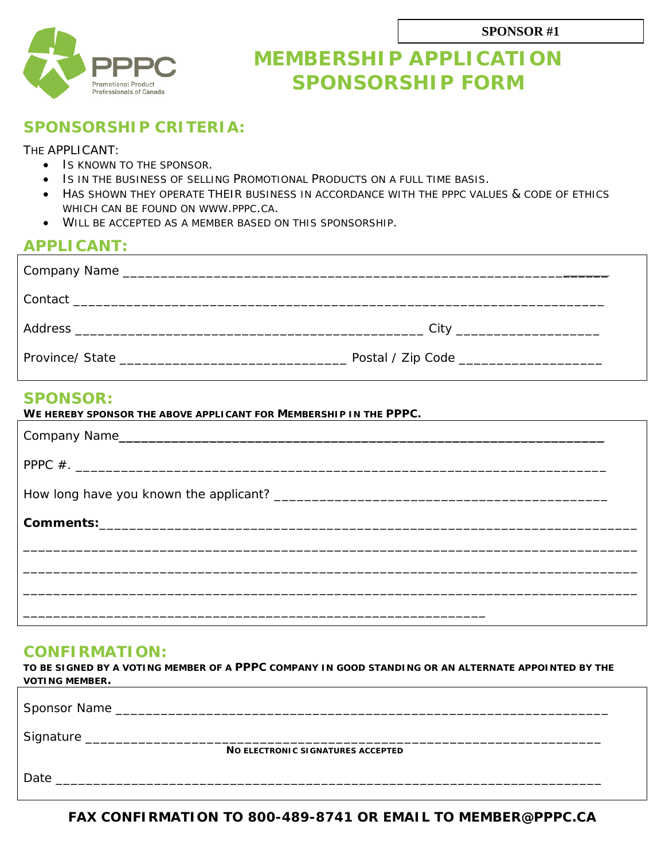

## **MEMBERSHIP APPLICATION SPONSORSHIP FORM**

### **SPONSORSHIP CRITERIA:**

#### THE APPLICANT:

- IS KNOWN TO THE SPONSOR.
- IS IN THE BUSINESS OF SELLING PROMOTIONAL PRODUCTS ON A FULL TIME BASIS.
- HAS SHOWN THEY OPERATE THEIR BUSINESS IN ACCORDANCE WITH THE PPPC VALUES & CODE OF ETHICS WHICH CAN BE FOUND ON WWW.PPPC.CA.
- WILL BE ACCEPTED AS A MEMBER BASED ON THIS SPONSORSHIP.

#### **APPLICANT:**

# **SPONSOR: WE HEREBY SPONSOR THE ABOVE APPLICANT FOR MEMBERSHIP IN THE PPPC.**

| VVE MEREDI SPUNSUR THE ADUVE APPLICANT FUR IVIEWDERSHIP IN THE FIFT U. |  |
|------------------------------------------------------------------------|--|
|                                                                        |  |
|                                                                        |  |
|                                                                        |  |
|                                                                        |  |
|                                                                        |  |
|                                                                        |  |
|                                                                        |  |
|                                                                        |  |

#### **CONFIRMATION:**

**TO BE SIGNED BY A VOTING MEMBER OF A PPPC COMPANY IN GOOD STANDING OR AN ALTERNATE APPOINTED BY THE VOTING MEMBER.** 

| Signature __ | NO ELECTRONIC SIGNATURES ACCEPTED |
|--------------|-----------------------------------|
| Date         |                                   |

**FAX CONFIRMATION TO 800-489-8741 OR EMAIL TO MEMBER@PPPC.CA**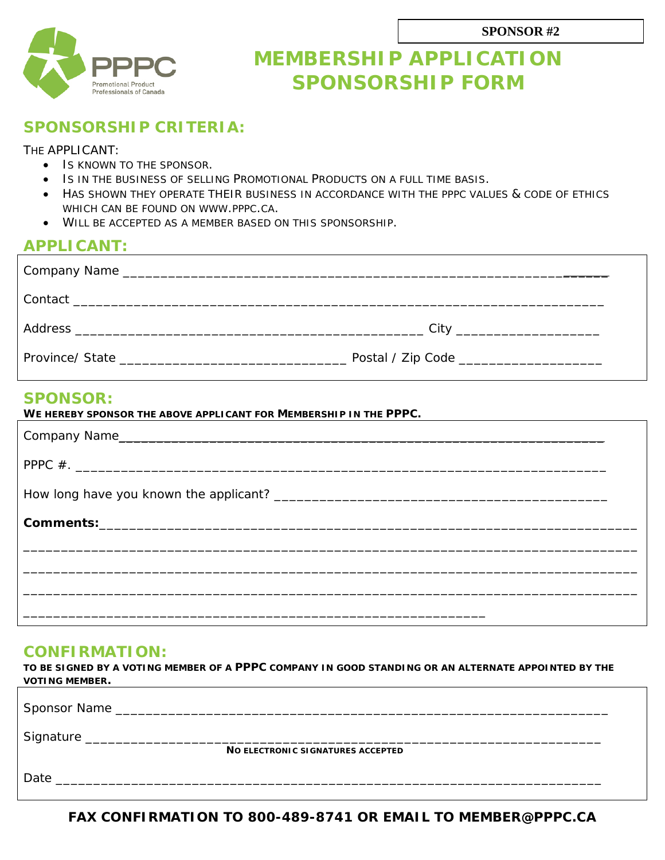

## **MEMBERSHIP APPLICATION SPONSORSHIP FORM**

### **SPONSORSHIP CRITERIA:**

#### THE APPLICANT:

- IS KNOWN TO THE SPONSOR.
- IS IN THE BUSINESS OF SELLING PROMOTIONAL PRODUCTS ON A FULL TIME BASIS.
- HAS SHOWN THEY OPERATE THEIR BUSINESS IN ACCORDANCE WITH THE PPPC VALUES & CODE OF ETHICS WHICH CAN BE FOUND ON WWW.PPPC.CA.
- WILL BE ACCEPTED AS A MEMBER BASED ON THIS SPONSORSHIP.

#### **APPLICANT:**

#### **SPONSOR:**

| WE HEREBY SPONSOR THE ABOVE APPLICANT FOR MEMBERSHIP IN THE PPPC. |  |
|-------------------------------------------------------------------|--|
|                                                                   |  |
|                                                                   |  |
|                                                                   |  |
|                                                                   |  |
|                                                                   |  |
|                                                                   |  |
|                                                                   |  |

#### **CONFIRMATION:**

**TO BE SIGNED BY A VOTING MEMBER OF A PPPC COMPANY IN GOOD STANDING OR AN ALTERNATE APPOINTED BY THE VOTING MEMBER.** 

| NO ELECTRONIC SIGNATURES ACCEPTED |  |
|-----------------------------------|--|
| Date                              |  |

**FAX CONFIRMATION TO 800-489-8741 OR EMAIL TO MEMBER@PPPC.CA**